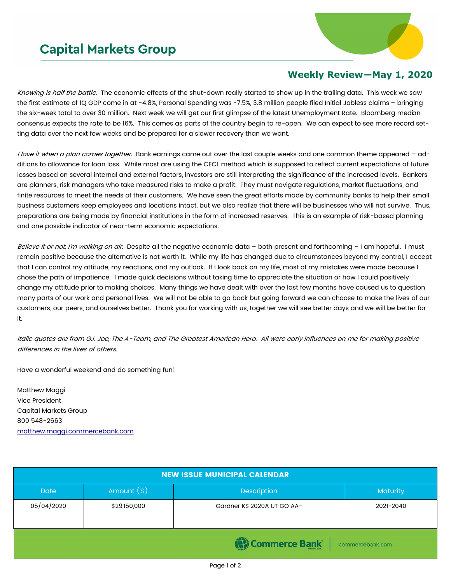## **Capital Markets Group**



## **Weekly Review—May 1, 2020**

Knowing is half the battle. The economic effects of the shut-down really started to show up in the trailing data. This week we saw the first estimate of 1Q GDP come in at -4.8%, Personal Spending was -7.5%, 3.8 million people filed Initial Jobless claims – bringing the six-week total to over 30 million. Next week we will get our first glimpse of the latest Unemployment Rate. Bloomberg median consensus expects the rate to be 16%. This comes as parts of the country begin to re-open. We can expect to see more record setting data over the next few weeks and be prepared for a slower recovery than we want.

I love it when a plan comes together. Bank earnings came out over the last couple weeks and one common theme appeared - additions to allowance for loan loss. While most are using the CECL method which is supposed to reflect current expectations of future losses based on several internal and external factors, investors are still interpreting the significance of the increased levels. Bankers are planners, risk managers who take measured risks to make a profit. They must navigate regulations, market fluctuations, and finite resources to meet the needs of their customers. We have seen the great efforts made by community banks to help their small business customers keep employees and locations intact, but we also realize that there will be businesses who will not survive. Thus, preparations are being made by financial institutions in the form of increased reserves. This is an example of risk-based planning and one possible indicator of near-term economic expectations.

Believe it or not, I'm walking on air. Despite all the negative economic data - both present and forthcoming - I am hopeful. I must remain positive because the alternative is not worth it. While my life has changed due to circumstances beyond my control, I accept that I can control my attitude, my reactions, and my outlook. If I look back on my life, most of my mistakes were made because I chose the path of impatience. I made quick decisions without taking time to appreciate the situation or how I could positively change my attitude prior to making choices. Many things we have dealt with over the last few months have caused us to question many parts of our work and personal lives. We will not be able to go back but going forward we can choose to make the lives of our customers, our peers, and ourselves better. Thank you for working with us, together we will see better days and we will be better for it.

Italic quotes are from G.I. Joe, The A-Team, and The Greatest American Hero. All were early influences on me for making positive differences in the lives of others.

Have a wonderful weekend and do something fun!

Matthew Maggi Vice President Capital Markets Group 800 548-2663 [matthew.maggi.commercebank.com](mailto:matthew.maggi@commercebank.com)

| <b>NEW ISSUE MUNICIPAL CALENDAR</b> |              |                            |           |  |  |
|-------------------------------------|--------------|----------------------------|-----------|--|--|
| <b>Date</b>                         | Amount $(*)$ | <b>Description</b>         | Maturity  |  |  |
| 05/04/2020                          | \$29,150,000 | Gardner KS 2020A UT GO AA- | 2021-2040 |  |  |
|                                     |              |                            |           |  |  |
| Commerce Bank<br>commercebank.com   |              |                            |           |  |  |